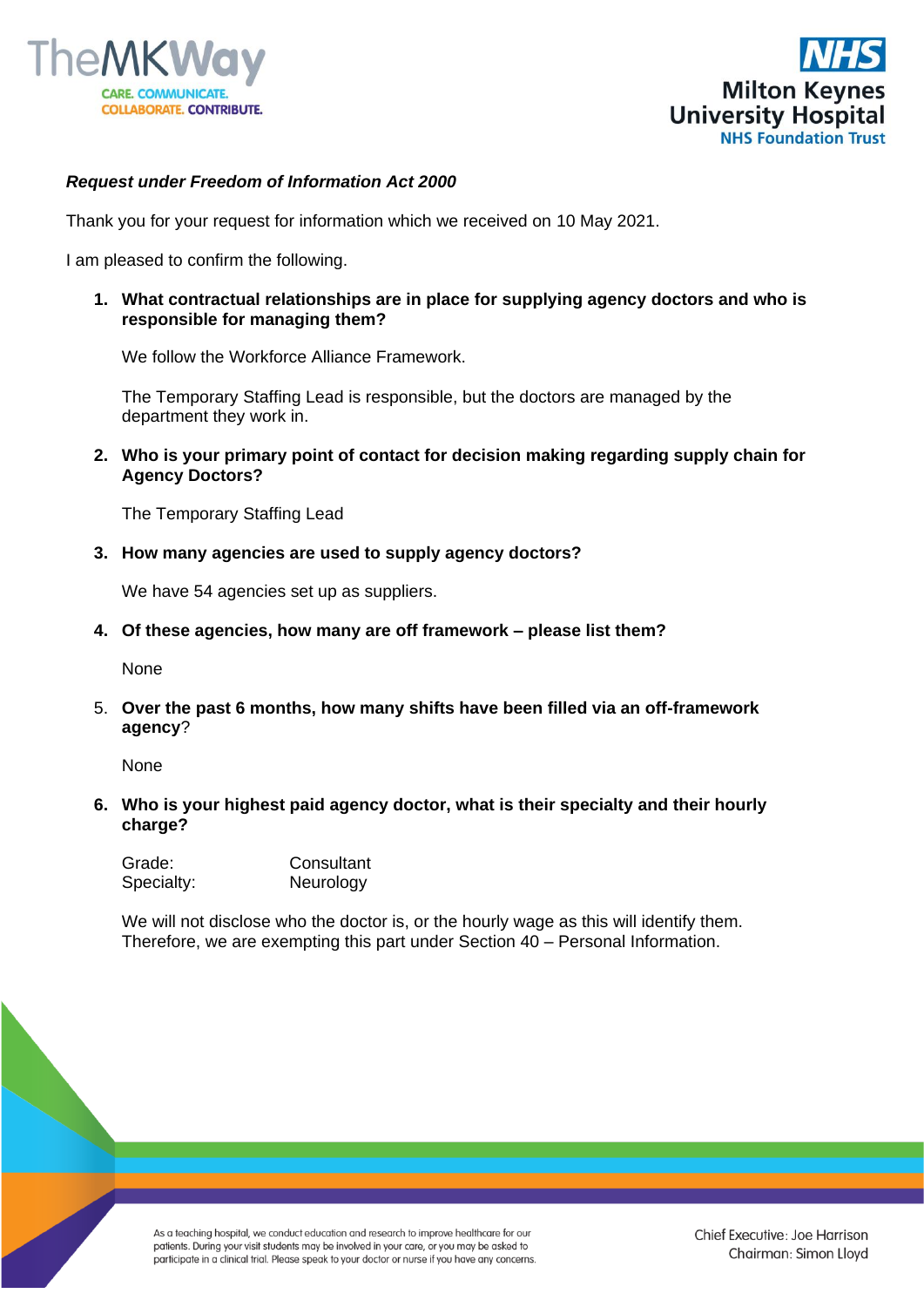



## *Request under Freedom of Information Act 2000*

Thank you for your request for information which we received on 10 May 2021.

I am pleased to confirm the following.

**1. What contractual relationships are in place for supplying agency doctors and who is responsible for managing them?**

We follow the Workforce Alliance Framework.

The Temporary Staffing Lead is responsible, but the doctors are managed by the department they work in.

**2. Who is your primary point of contact for decision making regarding supply chain for Agency Doctors?** 

The Temporary Staffing Lead

**3. How many agencies are used to supply agency doctors?**

We have 54 agencies set up as suppliers.

**4. Of these agencies, how many are off framework – please list them?**

None

5. **Over the past 6 months, how many shifts have been filled via an off-framework agency**?

None

**6. Who is your highest paid agency doctor, what is their specialty and their hourly charge?** 

| Grade:     | Consultant |
|------------|------------|
| Specialty: | Neurology  |

We will not disclose who the doctor is, or the hourly wage as this will identify them. Therefore, we are exempting this part under Section 40 – Personal Information.

As a teaching hospital, we conduct education and research to improve healthcare for our patients. During your visit students may be involved in your care, or you may be asked to participate in a clinical trial. Please speak to your doctor or nurse if you have any concerns.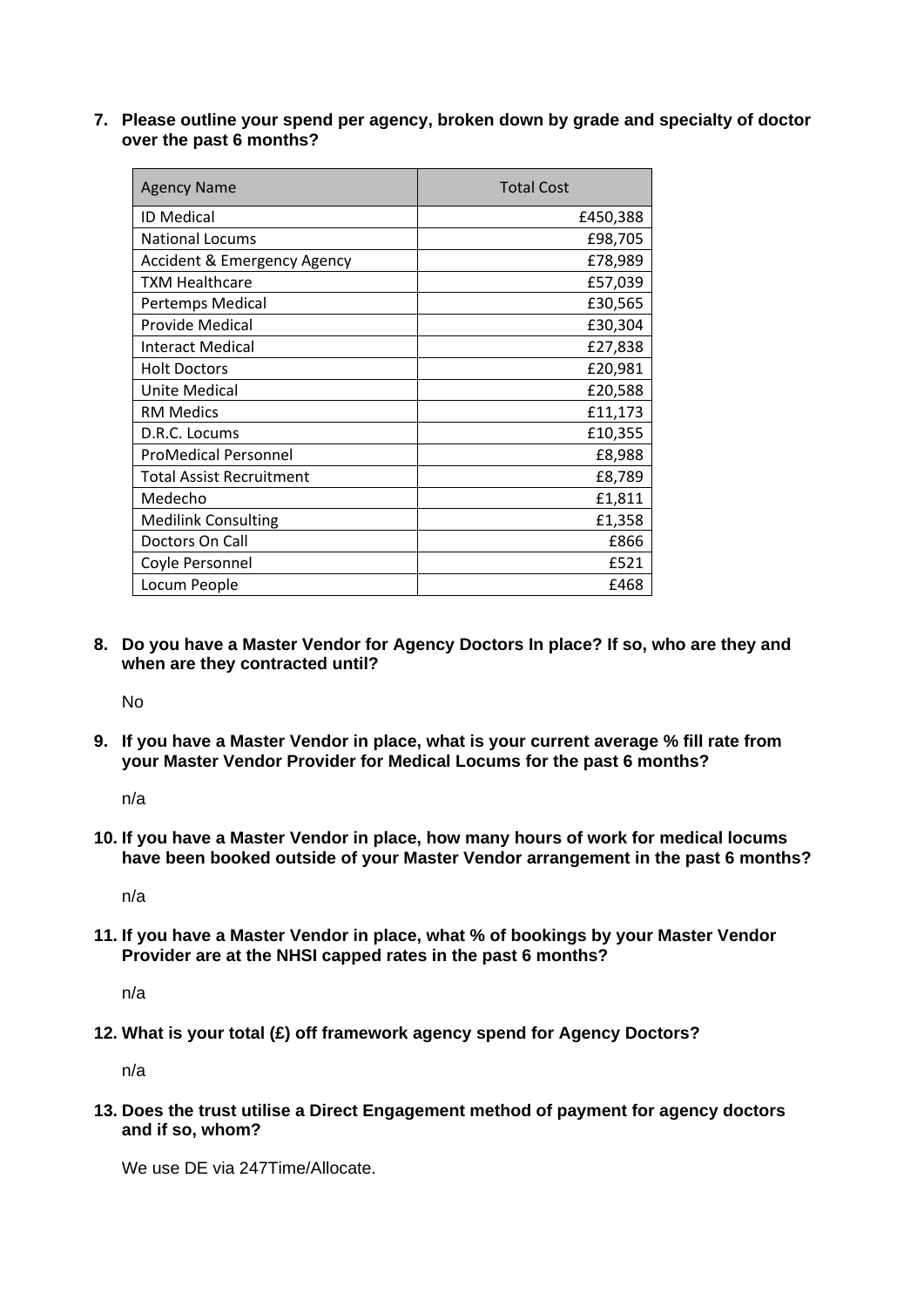**7. Please outline your spend per agency, broken down by grade and specialty of doctor over the past 6 months?**

| <b>Agency Name</b>              | <b>Total Cost</b> |
|---------------------------------|-------------------|
| <b>ID Medical</b>               | £450,388          |
| <b>National Locums</b>          | £98,705           |
| Accident & Emergency Agency     | £78,989           |
| <b>TXM Healthcare</b>           | £57,039           |
| Pertemps Medical                | £30,565           |
| Provide Medical                 | £30,304           |
| <b>Interact Medical</b>         | £27,838           |
| <b>Holt Doctors</b>             | £20,981           |
| Unite Medical                   | £20,588           |
| <b>RM Medics</b>                | £11,173           |
| D.R.C. Locums                   | £10,355           |
| <b>ProMedical Personnel</b>     | £8,988            |
| <b>Total Assist Recruitment</b> | £8,789            |
| Medecho                         | £1,811            |
| <b>Medilink Consulting</b>      | £1,358            |
| Doctors On Call                 | £866              |
| Coyle Personnel                 | £521              |
| Locum People                    | £468              |

**8. Do you have a Master Vendor for Agency Doctors In place? If so, who are they and when are they contracted until?**

No

**9. If you have a Master Vendor in place, what is your current average % fill rate from your Master Vendor Provider for Medical Locums for the past 6 months?**

n/a

**10. If you have a Master Vendor in place, how many hours of work for medical locums have been booked outside of your Master Vendor arrangement in the past 6 months?**

n/a

**11. If you have a Master Vendor in place, what % of bookings by your Master Vendor Provider are at the NHSI capped rates in the past 6 months?**

n/a

**12. What is your total (£) off framework agency spend for Agency Doctors?** 

n/a

**13. Does the trust utilise a Direct Engagement method of payment for agency doctors and if so, whom?**

We use DF via 247Time/Allocate.